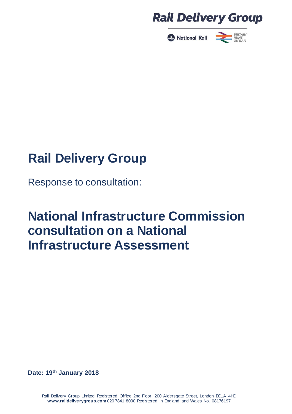



Response to consultation:

# **National Infrastructure Commission consultation on a National Infrastructure Assessment**

**Date: 19th January 2018**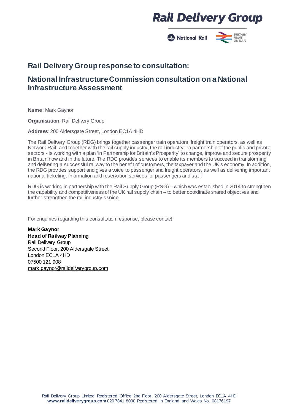**B** National Rail

#### **BRITAIN RUNS<br>ON RAIL**

### **Rail Delivery Groupresponse to consultation:**

### **National InfrastructureCommission consultation on a National Infrastructure Assessment**

**Name**: Mark Gaynor

**Organisation**: Rail Delivery Group

**Address**: 200 Aldersgate Street, London EC1A 4HD

The Rail Delivery Group (RDG) brings together passenger train operators, freight train operators, as well as Network Rail; and together with the rail supply industry, the rail industry – a partnership of the public and private sectors - is working with a plan 'In Partnership for Britain's Prosperity' to change, improve and secure prosperity in Britain now and in the future. The RDG provides services to enable its members to succeed in transforming and delivering a successful railway to the benefit of customers, the taxpayer and the UK's economy. In addition, the RDG provides support and gives a voice to passenger and freight operators, as well as delivering important national ticketing, information and reservation services for passengers and staff.

RDG is working in partnership with the Rail Supply Group (RSG) – which was established in 2014 to strengthen the capability and competitiveness of the UK rail supply chain – to better coordinate shared objectives and further strengthen the rail industry's voice.

For enquiries regarding this consultation response, please contact:

**Mark Gaynor Head of Railway Planning** Rail Delivery Group Second Floor, 200 Aldersgate Street London EC1A 4HD 07500 121 908 [mark.gaynor@raildeliverygroup.com](mailto:mark.gaynor@raildeliverygroup.com)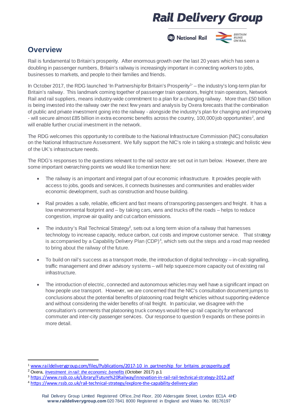

### **Overview**

Rail is fundamental to Britain's prosperity. After enormous growth over the last 20 years which has seen a doubling in passenger numbers, Britain's railway is increasingly important in connecting workers to jobs, businesses to markets, and people to their families and friends.

In October 20[1](#page-2-0)7, the RDG launched 'In Partnership for Britain's Prosperity<sup>1</sup>' – the industry's long-term plan for Britain's railway. This landmark coming together of passenger train operators, freight train operators, Network Rail and rail suppliers, means industry-wide commitment to a plan for a changing railway. More than £50 billion is being invested into the railway over the next few years and analysis by Oxera forecasts that the combination of public and private investment going into the railway - alongside the industry's plan for changing and improving - will secure almost £85 billion in extra economic benefits across the country, 100,000 job opportunities<sup>[2](#page-2-1)</sup>, and will enable further crucial investment in the network.

The RDG welcomes this opportunity to contribute to the National Infrastructure Commission (NIC) consultation on the National Infrastructure Assessment. We fully support the NIC's role in taking a strategic and holistic view of the UK's infrastructure needs.

The RDG's responses to the questions relevant to the rail sector are set out in turn below. However, there are some important overarching points we would like to mention here:

- The railway is an important and integral part of our economic infrastructure. It provides people with access to jobs, goods and services, it connects businesses and communities and enables wider economic development, such as construction and house building.
- Rail provides a safe, reliable, efficient and fast means of transporting passengers and freight. It has a low environmental footprint and – by taking cars, vans and trucks off the roads – helps to reduce congestion, improve air quality and cut carbon emissions.
- The industry's Rail Technical Strategy<sup>3</sup>, sets out a long term vision of a railway that harnesses technology to increase capacity, reduce carbon, cut costs and improve customer service. That strategy is accompanied by a Capability Delivery Plan (CDP)<sup>[4](#page-2-3)</sup>, which sets out the steps and a road map needed to bring about the railway of the future.
- To build on rail's success as a transport mode, the introduction of digital technology in-cab signalling, traffic management and driver advisory systems – will help squeezemore capacity out of existing rail infrastructure.
- The introduction of electric, connected and autonomous vehicles may well have a significant impact on how people use transport. However, we are concerned that the NIC's consultation document jumps to conclusions about the potential benefits of platooning road freight vehicles without supporting evidence and without considering the wider benefits of rail freight. In particular, we disagree with the consultation's comments that platooning truck convoys would free up rail capacity for enhanced commuter and inter-city passenger services. Our response to question 9 expands on these points in more detail.

<span id="page-2-0"></span><sup>&</sup>lt;sup>1</sup> www.raildeliverygroup.com/files/Publications/2017-10 in partnership for britains prosperity.pdf

<span id="page-2-1"></span><sup>2</sup> Oxera, *[Investment in rail: the economic benefits](https://www.raildeliverygroup.com/about-us/publications.html?task=file.download&id=469773423)* (October 2017) p.1

<span id="page-2-2"></span><sup>3</sup> <https://www.rssb.co.uk/Library/Future%20Railway/innovation-in-rail-rail-technical-strategy-2012.pdf>

<span id="page-2-3"></span><sup>4</sup> <https://www.rssb.co.uk/rail-technical-strategy/explore-the-capability-delivery-plan>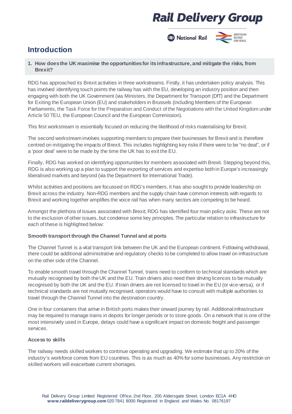

### **Introduction**

#### **1. How doesthe UK maximise the opportunitiesfor itsinfrastructure, and mitigate the risks, from Brexit?**

RDG has approached its Brexit activities in three workstreams. Firstly, it has undertaken policy analysis. This has involved identifying touch points the railway has with the EU, developing an industry position and then engaging with both the UK Government (via Ministers, the Department for Transport (DfT) and the Department for Exiting the European Union (EU) and stakeholders in Brussels (including Members of the European Parliaments, the Task Force for the Preparation and Conduct of the Negotiations with the United Kingdom under Article 50 TEU, the European Council and the European Commission).

This first workstream is essentially focused on reducing the likelihood of risks materialising for Brexit.

The second workstream involves supporting members to prepare their businesses for Brexit and is therefore centred on mitigating the impacts of Brexit. This includes highlighting key risks if there were to be "no deal", or if a 'poor deal' were to be made by the time the UK has to exit the EU.

Finally, RDG has worked on identifying opportunities for members associated with Brexit. Stepping beyond this, RDG is also working up a plan to support the exporting of services and expertise bothin Europe's increasingly liberalised markets and beyond (via the Department for International Trade).

Whilst activities and positions are focussed on RDG's members, it has also sought to provide leadership on Brexit across the industry. Non-RDG members and the supply chain have common interests with regards to Brexit and working together amplifies the voice rail has when many sectors are competing to be heard.

Amongst the plethora of issues associated with Brexit, RDG has identified four main policy asks. These are not to the exclusion of other issues, but condense some key principles. The particular relation to infrastructure for each of these is highlighted below:

#### **Smooth transport through the Channel Tunnel and at ports**

The Channel Tunnel is a vital transport link between the UK and the European continent. Following withdrawal, there could be additional administrative and regulatory checks tobe completed to allow travel on infrastructure on the other side of the Channel.

To enable smooth travel through the Channel Tunnel, trains need to conform to technical standards which are mutually recognised by both the UK and the EU. Train drivers also need their driving licences to be mutually recognised by both the UK and the EU. If train drivers are not licensed to travel in the EU (or vice-versa), or if technical standards are not mutually recognised, operators would have to consult with multiple authorities to travel through the Channel Tunnel into the destination country.

One in four containers that arrive in British ports makes their onward journey by rail. Additional infrastructure may be required to manage trains in depots for longer periods or to store goods. On a network that is one of the most intensively used in Europe, delays could have a significant impact on domestic freight and passenger services.

#### **Access to skills**

The railway needs skilled workers to continue operating and upgrading. We estimate that up to 20% of the industry's workforce comes from EU countries. This is as much as 40% for some businesses. Any restriction on skilled workers will exacerbate current shortages.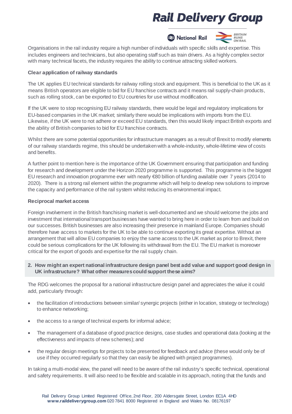

Organisations in the rail industry require a high number of individuals with specific skills and expertise. This includes engineers and technicians, but also operating staff such as train drivers. As a highly complex sector with many technical facets, the industry requires the ability to continue attracting skilled workers.

#### **Clear application of railway standards**

The UK applies EU technical standards for railway rolling stock and equipment. This is beneficial to the UK as it means British operators are eligible to bid for EU franchise contracts and it means rail supply-chain products, such as rolling stock, can be exported to EU countries for use without modification.

If the UK were to stop recognising EU railway standards, there would be legal and regulatory implications for EU-based companies in the UK market; similarly there would be implications with imports from the EU. Likewise, if the UK were to not adhere or exceed EU standards, then this would likely impact British exports and the ability of British companies to bid for EU franchise contracts.

Whilst there are some potential opportunities for infrastructure managers as a result of Brexit to modify elements of our railway standards regime, this should be undertakenwith a whole-industry, whole-lifetime view of costs and benefits.

A further point to mention here is the importance of the UK Government ensuring that participation and funding for research and development under the Horizon 2020 programme is supported. This programme is the biggest EU research and innovation programme ever with nearly €80 billion of funding available over 7 years (2014 to 2020). There is a strong rail element within the programme which will help to develop new solutions to improve the capacity and performance of the rail system whilst reducing its environmental impact.

#### **Reciprocal market access**

Foreign involvement in the British franchising market is well-documented and we should welcome the jobs and investment that international transport businesses have wanted to bring here in order to learn from and build on our successes. British businesses are also increasing their presence in mainland Europe. Companies should therefore have access to markets for the UK to be able to continue exportingits great expertise. Without an arrangement that will allow EU companies to enjoy the same access to the UK market as prior to Brexit, there could be serious complications for the UK following its withdrawal from the EU. The EU market is moreover critical for the export of goods and expertisefor the rail supply chain.

**2. How might an expert national infrastructure design panel best add value and support good design in UK infrastructure? What other measurescould support these aims?**

The RDG welcomes the proposal for a national infrastructure design panel and appreciates the value it could add, particularly through:

- the facilitation of introductions between similar/ synergic projects (either in location, strategy or technology) to enhance networking;
- the access to a range of technical experts for informal advice;
- The management of a database of good practice designs, case studies and operational data (looking at the effectiveness and impacts of new schemes); and
- the regular design meetings for projects tobe presented for feedback and advice (these would only be of use if they occurred regularly so that they can easily be aligned with project programmes).

In taking a multi-modal view, the panel will need to be aware of the rail industry's specific technical, operational and safety requirements. It will also need to be flexible and scalable in its approach, noting that the funds and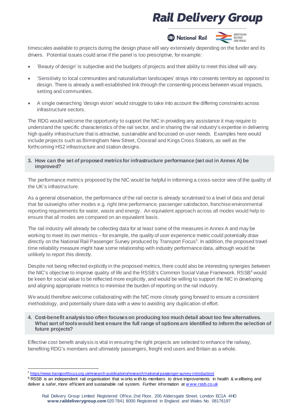



timescales available to projects during the design phase will vary extensively depending on the funder and its drivers. Potential issues could arise if the panel is too prescriptive, for example:

- 'Beauty of design' is subjective and the budgets of projects and their ability to meet this ideal will vary.
- 'Sensitivity to local communities and natural/urban landscapes' strays into consents territory as opposed to design. There is already a well-established link through the consenting process between visual impacts, setting and communities.
- A single overarching 'design vision' would struggle to take into account the differing constraints across infrastructure sectors.

The RDG would welcome the opportunity to support the NIC in providing any assistance it may require to understand the specific characteristics of the rail sector, and in sharing the rail industry's expertise in delivering high quality infrastructure that is attractive, sustainable and focussed on user needs. Examples here would include projects such as Birmingham New Street, Crossrail and Kings Cross Stations, as well as the forthcoming HS2 infrastructure and station designs.

**3. How can the set of proposed metricsfor infrastructure performance (set out in Annex A) be improved?**

The performance metrics proposed by the NIC would be helpful in informing a cross-sector view of the quality of the UK's infrastructure.

As a general observation, the performance of the rail sector is already scrutinised to a level of data and detail that far outweighs other modes e.g. right time performance, passenger satisfaction, franchiseenvironmental reporting requirements for water, waste and energy. An equivalent approach across all modes would help to ensure that all modes are compared on an equivalent basis.

The rail industry will already be collecting data for at least some of the measures in Annex A and may be working to meet its own metrics – for example, the quality of user experience metric could potentially draw directly on the National Rail Passenger Survey produced by Transport Focus<sup>[5](#page-5-0)</sup>. In addition, the proposed travel time reliability measure might have some relationship with industry performance data, although would be unlikely to report this directly.

Despite not being reflected explicitly in the proposed metrics, there could also be interesting synergies between the NIC's objective to improve quality of life and the RSSB's Common Social Value Framework. RSSB<sup>[6](#page-5-1)</sup> would be keen for social value to be reflected more explicitly, and would be willing to support the NIC in developing and aligning appropriate metrics to minimise the burden of reporting on the rail industry.

We would therefore welcome collaborating with the NIC more closely going forward to ensure a consistent methodology, and potentially share data with a view to avoiding any duplication of effort.

**4. Cost-benefit analysistoo often focuseson producing too much detail about too few alternatives. What sort of toolswould best ensure the full range of optionsare identified to inform the selection of future projects?**

Effective cost benefit analysis is vital in ensuring the right projects are selected to enhance the railway, benefiting RDG's members and ultimately passengers, freight end users and Britain as a whole.

l <sup>5</sup> <https://www.transportfocus.org.uk/research-publications/research/national-passenger-survey-introduction/>

<span id="page-5-1"></span><span id="page-5-0"></span> $6$  RSSB is an independent rail organisation that w orks with its members to drive improvements in health & w ellbeing and deliver a safer, more efficient and sustainable rail system. Further information at www.rssb.co.uk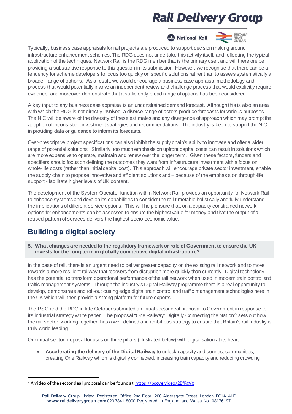

Typically, business case appraisals for rail projects are produced to support decision making around infrastructure enhancement schemes. The RDG does not undertake this activity itself, and reflecting the typical application of the techniques, Network Rail is the RDG member that is the primary user, and will therefore be providing a substantive response to this question in its submission. However, we recognise that there can be a tendency for scheme developers to focus too quickly on specific solutions rather than to assess systematically a broader range of options. As a result, we would encourage a business case appraisal methodology and process that would potentially involve an independent review and challenge process that would explicitly require evidence, and moreover demonstrate that a sufficiently broad range of options has been considered.

A key input to any business case appraisal is an unconstrained demand forecast. Althoughthis is also an area with which the RDG is not directly involved, a diverse range of actors produce forecasts for various purposes. The NIC will be aware of the diversity of these estimates and any divergence of approach which may prompt the adoption of inconsistent investment strategies and recommendations. The industry is keen to support the NIC in providing data or guidance to inform its forecasts.

Over-prescriptive project specifications can also inhibit the supply chain's ability to innovate and offer a wider range of potential solutions. Similarly, too much emphasis on upfront capital costs can result in solutions which are more expensive to operate, maintain and renew over the longer term. Given these factors, funders and specifiers should focus on defining the outcomes they want from infrastructure investment with a focus on whole-life costs (rather than initial capital cost). This approach will encourage private sector investment, enable the supply chain to propose innovative and efficient solutions and – because of the emphasis on through-life support - facilitate higher levels of UK content.

The development of the System Operator function within Network Rail provides an opportunity for Network Rail to enhance systems and develop its capabilities to consider the rail timetable holistically and fully understand the implications of different service options. This will help ensure that, on a capacity constrained network, options for enhancements canbe assessed to ensure the highest value for money and that the output of a revised pattern of services delivers the highest socio-economic value.

### **Building a digital society**

**5. What changesare needed to the regulatory framework or role of Government to ensure the UK invests for the long term in globally competitive digital infrastructure?**

In the case of rail, there is an urgent need to deliver greater capacity on the existing rail network and to move towards a more resilient railway that recovers from disruption more quickly than currently. Digital technology has the potential to transform operational performance of the rail network when used in modern train control and traffic management systems. Through the industry's Digital Railway programme there is a real opportunity to develop, demonstrate and roll-out cutting edge digital train control and traffic management technologies here in the UK which will then provide a strong platform for future exports.

The RSG and the RDG in late October submitted an initial sector deal proposal to Government in response to its industrial strategy white paper. The proposal "One Railway: Digitally Connecting the Nation<sup>7</sup>" sets out how the rail sector, working together, has a well-defined and ambitious strategy to ensure that Britain's rail industry is truly world leading.

Our initial sector proposal focuses on three pillars (illustrated below) with digitalisation at its heart:

• **Accelerating the delivery of the Digital Railway** to unlock capacity and connect communities, creating One Railway which is digitally connected, increasing train capacity and reducing crowding

<span id="page-6-0"></span><sup>&</sup>lt;sup>7</sup> A video of the sector deal proposal can be found a[t: https://bcove.video/2BfPgVg](https://bcove.video/2BfPgVg)

Rail Delivery Group Limited Registered Office, 2nd Floor, 200 Aldersgate Street, London EC1A 4HD **www.raildeliverygroup.com** 020 7841 8000 Registered in England and Wales No. 08176197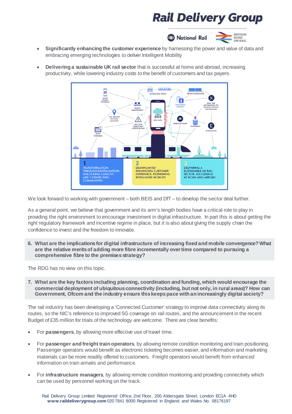

- **Significantly enhancing the customer experience** by harnessing the power and value of data and embracing emerging technologies to deliver Intelligent Mobility
- **Delivering a sustainable UK rail sector** that is successful at home and abroad, increasing productivity, while lowering industry costs tothe benefit of customers and tax payers.



We look forward to working with government – both BEIS and DfT – to develop the sector deal further.

As a general point, we believe that government and its arm's length bodies have a critical role to play in providing the right environment to encourage investment in digital infrastructure. In part this is about getting the right regulatory framework and incentive regime in place, but it is also about giving the supply chain the confidence to invest and the freedom to innovate.

**6. What are the implicationsfor digital infrastructure of increasing fixed and mobile convergence? What are the relative meritsof adding more fibre incrementally overtime compared to pursuing a comprehensive fibre to the premisesstrategy?**

The RDG has no view on this topic.

**7. What are the key factorsincluding planning, coordination and funding, which would encourage the commercial deployment of ubiquitousconnectivity (including, but not only, in rural areas)? How can Government, Ofcom and the industry ensure thiskeepspace with an increasingly digital society?**

The rail industry has been developing a 'Connected Customer' strategy to improve data connectivity along its routes, so the NIC's reference to improved 5G coverage on rail routes, and the announcement in the recent Budget of £35 million for trials of the technology are welcome. There are clear benefits:

- For **passengers**, by allowing more effective use of travel time.
- For **passenger and freight train operators**, by allowing remote condition monitoring and train positioning. Passenger operators would benefit as electronic ticketing becomes easier, and information and marketing materials can be more readily offered to customers. Freight operators would benefit from enhanced information on train arrivals and performance.
- For **infrastructure managers**, by allowing remote condition monitoring and providing connectivity which can be used by personnel working on the track.

Rail Delivery Group Limited Registered Office, 2nd Floor, 200 Aldersgate Street, London EC1A 4HD **www.raildeliverygroup.com** 020 7841 8000 Registered in England and Wales No. 08176197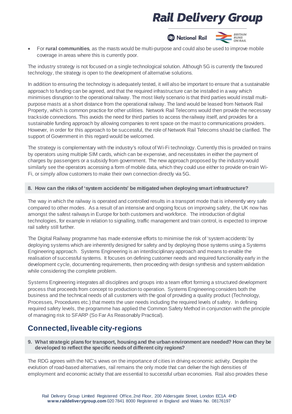

• For **rural communities**, as the masts would be multi-purpose and could also be used to improve mobile coverage in areas where this is currently poor.

The industry strategy is not focused on a single technological solution. Although 5G is currently the favoured technology, the strategy is open to the development of alternative solutions.

In addition to ensuring the technology is adequately tested, it will also be important to ensure that a sustainable approach to funding can be agreed, and that the required infrastructure can be installed in a way which minimises disruption to the operational railway. The most likely scenario is that third parties would install multipurpose masts at a short distance from the operational railway. The land would be leased from Network Rail Property, which is common practice for other utilities. Network Rail Telecoms would then provide the necessary trackside connections. This avoids the need for third parties to access therailway itself, and provides for a sustainable funding approach by allowing companies to rent space on the mast to communications providers. However, in order for this approach to be successful, the role of Network Rail Telecoms should be clarified. The support of Government in this regard would be welcomed.

The strategy is complementary with the industry's rollout of Wi-Fi technology. Currently this is provided on trains by operators using multiple SIM cards, which can be expensive, and necessitates in either the payment of charges by passengers or a subsidy from government. The new approach proposed by the industry would similarly see the operators accessing a form of mobile data, which they could use either to provide on-train Wi-Fi, or simply allow customers to make their own connection directly via 5G.

#### **8. How can the risksof 'system accidents' be mitigated when deploying smart infrastructure?**

The way in which the railway is operated and controlled results in a transport mode that is inherently very safe compared to other modes. As a result of an intensive and ongoing focus on improving safety, the UK now has amongst the safest railways in Europe for both customers and workforce. The introduction of digital technologies, for example in relation to signalling, traffic management and train control, is expected to improve rail safety still further.

The Digital Railway programme has made extensive efforts to minimise the risk of 'system accidents' by deploying systems which are inherently designed for safety and by deploying those systems using a Systems Engineering approach. Systems Engineering is an interdisciplinary approach and means to enable the realisation of successful systems. It focuses on defining customer needs and required functionality early in the development cycle, documenting requirements, then proceeding with design synthesis and system validation while considering the complete problem.

Systems Engineering integrates all disciplines and groups into a team effort forming a structured development process that proceeds from concept to production to operation. Systems Engineering considers both the business and the technical needs of all customers with the goal of providing a quality product (Technology, Processes, Procedures etc.) that meets the user needs including the required levels of safety. In defining required safety levels, the programme has applied the Common Safety Method in conjunction with the principle of managing risk to SFARP (So Far As Reasonably Practical).

### **Connected, liveable city-regions**

**9. What strategic plansfor transport, housing and the urban environment are needed? How can they be developed to reflect the specific needsof different city regions?**

The RDG agrees with the NIC's views on the importance of cities in driving economic activity. Despite the evolution of road-based alternatives, rail remains the only mode that can deliver the high densities of employment and economic activity that are essential to successful urban economies. Rail also provides these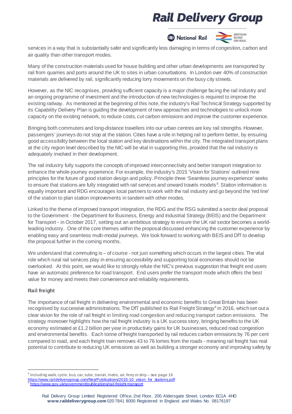



services in a way that is substantially safer and significantly less damaging in terms of congestion, carbon and air quality than other transport modes.

Many of the construction materials used for house building and other urban developments are transported by rail from quarries and ports around the UK to sites in urban conurbations. In London over 40% of construction materials are delivered by rail, significantly reducing lorry movements on the busy city streets.

However, as the NIC recognises, providing sufficient capacity is a major challenge facing the rail industry and an ongoing programme of investment and the introduction of new technologies is required to improve the existing railway. As mentioned at the beginning of this note, the industry's Rail Technical Strategy supported by its Capability Delivery Plan is guiding the development of new approaches and technologies to unlock more capacity on the existing network, to reduce costs, cut carbon emissions and improve the customer experience.

Bringing both commuters and long-distance travellers into our urban centres are key rail strengths. However, passengers' journeys do not stop at the station. Cities have a role in helping rail to perform better, by ensuring good accessibility between the local station and key destinations within the city. The integrated transport plans at the city region level described by the NIC will be vital in supporting this, provided that the rail industry is adequately involved in their development.

The rail industry fully supports the concepts of improved interconnectivity and better transport integration to enhance the whole-journey experience. For example, theindustry's 2015 'Vision for Stations' outlined nine principles for the future of good station design and policy. Principle three 'Seamless journey experience' seeks to ensure that stations are fully integrated with rail services and onward travels models<sup>[8](#page-9-0)</sup>. Station information is equally important and RDG encourages local partners to work with the rail industry and go beyond the 'red line' of the station to plan station improvements in tandem with other modes.

Linked to the theme of improved transport integration, the RDG and the RSG submitted a sector deal proposal to the Government - the Department for Business, Energy and Industrial Strategy (BEIS) and the Department for Transport - in October 2017, setting out an ambitious strategy to ensure the UK rail sector becomes a worldleading industry. One of the core themes within the proposal discussed enhancing the customer experience by enabling easy and seamless multi-modal journeys. We look forward to working with BEIS and DfT to develop the proposal further in the coming months.

We understand that commuting is – of course - not just something which occurs in the largest cities. The vital role which rural rail services play in ensuring accessibility and supporting local economies should not be overlooked. At this point, we would like to strongly refute the NIC's previous suggestion that freight end users have an automatic preference for road transport. End users prefer the transport mode which offers the best value for money and meets their convenience and reliability requirements.

#### **Rail freight**

l

The importance of rail freight in delivering environmental and economic benefits to Great Britain has been recognised by successive administrations. The DfT published its Rail Freight Strategy<sup>[9](#page-9-1)</sup> in 2016, which set out a clear vision for the role of rail freight in limiting road congestion and reducing transport carbon emissions. The strategy moreover highlights how the rail freight industry is a UK success story, bringing benefits to the UK economy estimated at £1.2 billion per year in productivity gains for UK businesses, reduced road congestion and environmental benefits. Each tonne of freight transported by rail reduces carbon emissions by 76 per cent compared to road, and each freight train removes 43 to 76 lorries from the roads - meaning rail freight has real potential to contribute to reducing UK emissions as well as building a stronger economy and improving safety by

<span id="page-9-0"></span><sup>&</sup>lt;sup>8</sup> Including walk, cycle, bus, car, tube, transit, metro, air, ferry or ship – see page 16<br>https://www.raildeliverygroup.com/files/Publications/2015-10 vision for stations.pdf

<span id="page-9-1"></span><https://www.gov.uk/government/publications/rail-freight-transport>

Rail Delivery Group Limited Registered Office, 2nd Floor, 200 Aldersgate Street, London EC1A 4HD **www.raildeliverygroup.com** 020 7841 8000 Registered in England and Wales No. 08176197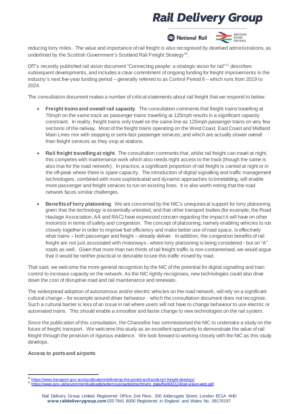

reducing lorry miles. The value and importance of rail freight is also recognised by devolved administrations, as underlined by the Scottish Government's Scotland Rail Freight Strategy<sup>10</sup>.

DfT's recently published rail vision document "Connecting people: a strategic vision for rail"<sup>[11](#page-10-1)</sup> describes subsequent developments, and includes a clear commitment of ongoing funding for freight improvements in the industry's next five-year funding period – generally referred to as Control Period 6 – which runs from 2019 to 2024.

The consultation document makes a number of critical statements about rail freight that we respond to below:

- **Freight trainsand overallrail capacity**. The consultation comments that freight trains travelling at 70mph on the same track as passenger trains travelling at 125mph results in a significant capacity constraint. In reality, freight trains only travel on the same line as 125mph passenger trains on very few sections of the railway. Most of the freight trains operating on the West Coast, East Coast and Midland Main Lines mix with stopping or semi-fast passenger services; and which are actually slower overall than freight services as they stop at stations.
- **Rail freight travelling at night**. The consultation comments that, whilst rail freight can travel at night, this competes with maintenance work which also needs night access to the track (though the same is also true for the road network). In practice, a significant proportion of rail freight is carried at night or in the off-peak where there is spare capacity. The introduction of digital signalling and traffic management technologies, combined with more sophisticated and dynamic approaches totimetabling, will enable more passenger and freight services to run on existing lines. It is also worth noting that the road network faces similar challenges.
- **Benefitsof lorry platooning**. We are concerned by the NIC's unequivocal support for lorry platooning given that the technology is essentially untested, and that other transport bodies (for example, the Road Haulage Association, AA and RAC) have expressed concern regarding the impact it will have on other motorists in terms of safety and congestion. The concept of platooning, namely enabling vehicles to run closely together in order to improve fuel efficiency and make better use of road space, is effectively what trains – both passenger and freight – already deliver. In addition, the congestion benefits of rail freight are not just associated with motorways - where lorry platooning is being considered - but on "A" roads as well. Given that more than two thirds of rail freight traffic is non-containerised, we would argue that it would be neither practical or desirable tosee this traffic moved by road.

That said, we welcome the more general recognition by the NIC of the potential for digital signalling and train control to increase capacity on the network. As the NIC rightly recognises, new technologies could also drive down the cost of disruptive road and rail maintenance and renewals.

The widespread adoption of autonomous and/or electric vehicles on the road network, willrely on a significant cultural change – for example around driver behaviour - which the consultation document does not recognise. Such a cultural barrier is less of an issue in rail where users will not have to change behaviour to use electric or automated trains. This should enable a smoother and faster change to new technologies on the rail system.

Since the publication of this consultation, the Chancellor has commissioned the NIC to undertake a study on the future of freight transport. We welcome this study as an excellent opportunity to demonstrate the value of rail freight through the provision of rigorous evidence. We look forward to working closely with the NIC as this study develops.

#### **Access to portsand airports**

<span id="page-10-0"></span><sup>10</sup> https://www.transport.gov.scot/publication/delivering-the-goods-scotlands-rail-freight-strategy/

<span id="page-10-1"></span><sup>10</sup> <https://www.transport.gov.scot/publication/delivering-the-goods-scotlands-rail-freight-strategy/> <sup>11</sup> [https://www.gov.uk/government/uploads/system/uploads/attachment\\_data/file/663124/rail-vision-web.pdf](https://www.gov.uk/government/uploads/system/uploads/attachment_data/file/663124/rail-vision-web.pdf)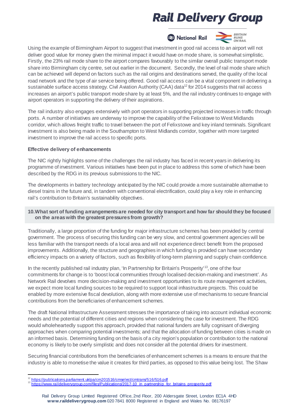



Using the example of Birmingham Airport to suggest that investment in good rail access to an airport will not deliver good value for money given the minimal impact it would have on mode share, is somewhat simplistic. Firstly, the 23% rail mode share to the airport compares favourably to the similar overall public transport mode share into Birmingham city centre, set out earlier in the document. Secondly, the level of rail mode share which can be achieved will depend on factors such as the rail origins and destinations served, the quality of the local road network and the type of air service being offered. Good rail access can be a vital component in delivering a sustainable surface access strategy. Civil Aviation Authority (CAA) data<sup>12</sup> for 2014 suggests that rail access increases an airport's public transport modeshare by at least 5%, and the rail industry continues to engage with airport operators in supporting the delivery of their aspirations.

The rail industry also engages extensively with port operators in supporting projected increases in traffic through ports. A number of initiatives are underway to improve the capability of the Felixstowe to West Midlands corridor, which allows freight traffic to travel between the port of Felixstowe and key inland terminals. Significant investment is also being made in the Southampton to West Midlands corridor, together with more targeted investment to improve the rail access to specific ports.

#### **Effective delivery of enhancements**

The NIC rightly highlights some of the challenges the rail industry has faced in recent years in delivering its programme of investment. Various initiatives have been put in place to address this some of which have been described by the RDG in its previous submissions to the NIC.

The developments in battery technology anticipated by the NIC could provide a more sustainable alternative to diesel trains in the future and, in tandem with conventional electrification, could play a key role in enhancing rail's contribution to Britain's sustainability objectives.

#### **10.What sort of funding arrangementsare needed for city transport and how far should they be focused on the areaswith the greatest pressuresfrom growth?**

Traditionally, a large proportion of the funding for major infrastructure schemes has been provided by central government. The process of securing this funding can be very slow, and central government agencies will be less familiar with the transport needs of a local area and will not experiencedirect benefit from the proposed improvements. Additionally, the structure and geographies in which funding is provided can have secondary efficiency impacts on a variety of factors, such as flexibility of long-term planning and supply chain confidence.

In the recently published rail industry plan, 'In Partnership for Britain's Prosperity'<sup>[13](#page-11-1)</sup>, one of the four commitments for change is to 'boost local communities through localised decision-making and investment'. As Network Rail devolves more decision-making and investment opportunities to its route management activities, we expect more local funding sources to be required to support local infrastructure projects. This could be enabled by more extensive fiscal devolution, along with more extensive use of mechanisms to secure financial contributions from the beneficiaries of enhancement schemes.

The draft National Infrastructure Assessment stresses the importance of taking into account individual economic needs and the potential of different cities and regions when considering the case for investment. The RDG would wholeheartedly support this approach, provided that national funders are fully cognisant of diverging approaches when comparing potential investments; and that the allocation of funding between cities is made on an informed basis. Determining funding on the basis of a city region's population or contribution to the national economy is likely to be overly simplistic and does not consider all the potential drivers for investment.

Securing financial contributions from the beneficiaries of enhancement schemes is a means to ensure that the industry is able to monetisethe value it creates for third parties, as opposed to this value being lost. The Shaw

<span id="page-11-1"></span><span id="page-11-0"></span><sup>&</sup>lt;sup>12</sup> https://publications.parliament.uk/pa/cm201516/cmselect/cmtrans/516/516.pdf

[https://www.raildeliverygroup.com/files/Publications/2017-10\\_in\\_partnership\\_for\\_britains\\_prosperity.pdf](https://www.raildeliverygroup.com/files/Publications/2017-10_in_partnership_for_britains_prosperity.pdf)

Rail Delivery Group Limited Registered Office, 2nd Floor, 200 Aldersgate Street, London EC1A 4HD **www.raildeliverygroup.com** 020 7841 8000 Registered in England and Wales No. 08176197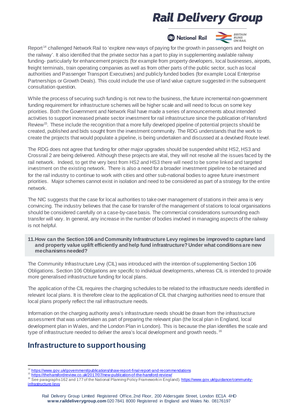

**BRITAIN RUNS<br>ON RAIL** 

Report<sup>[14](#page-12-0)</sup> challenged Network Rail to 'explore new ways of paying for the growth in passengers and freight on the railway'. It also identified that the private sector has a part to play in supplementing available railway funding- particularly for enhancement projects (for example from property developers, local businesses, airports, freight terminals, train operating companies as well as from other parts of the public sector, such as local authorities and Passenger Transport Executives) and publicly funded bodies (for example Local Enterprise Partnerships or Growth Deals). This could include the use of land value capture suggested in the subsequent consultation question.

While the process of securing such funding is not new to the business, the future incremental non-government funding requirement for infrastructure schemes will be higher scale and will need to focus on some key priorities. Both the Government and Network Rail have made a series of announcements about intended activities to support increased private sector investment for rail infrastructure since the publication of Hansford Review<sup>[15](#page-12-1)</sup>. These include the recognition that a more fully developed pipeline of potential projects should be created, published and bids sought from the investment community. The RDG understands that the work to create the projects that would populate a pipeline, is being undertaken and discussed at a devolved Route level.

The RDG does not agree that funding for other major upgrades should be suspended whilst HS2, HS3 and Crossrail 2 are being delivered. Although these projects are vital, they will not resolve all the issues faced by the rail network. Indeed, to get the very best from HS2 and HS3 there will need to be some linked and targeted investment on the existing network. There is also a need for a broader investment pipeline to be retained and for the rail industry to continue to work with cities and other sub-national bodies to agree future investment priorities. Major schemes cannot exist in isolation and need to be considered as part of a strategy for the entire network.

The NIC suggests that the case for local authorities to takeover management of stations in their area is very convincing. The industry believes that the case for transfer of the management of stations to local organisations should be considered carefully on a case-by-casebasis. The commercial considerations surrounding each transfer will vary. In general, any increase in the number of bodies involved in managing aspects of the railway is not helpful.

#### **11.How can the Section 106 and Community Infrastructure Levy regimesbe improved to capture land and property value uplift efficiently and help fund infrastructure? Under what conditionsare new mechanismsneeded?**

The Community Infrastructure Levy (CIL) was introduced with the intention of supplementing Section 106 Obligations. Section 106 Obligations are specific to individual developments, whereas CIL is intended to provide more generalised infrastructure funding for local plans.

The application of the CIL requires the charging schedules to be related to the infrastructure needs identified in relevant local plans. It is therefore clear to the applicationof CIL that charging authorities need to ensure that local plans properly reflect the rail infrastructure needs.

Information on the charging authority area's infrastructure needs should be drawn from the infrastructure assessment that was undertaken as part of preparing the relevant plan (the local plan in England, local development plan in Wales, and the London Plan in London). This is because the plan identifies the scale and type of infrastructure needed to deliver the area's local development and growth needs. <sup>[16](#page-12-2)</sup>

### **Infrastructure to support housing**

 $\overline{a}$ <sup>14</sup> <https://www.gov.uk/government/publications/shaw-report-final-report-and-recommendations><br>15 <https://thehansfordreview.co.uk/2017/07/new-publication-of-the-hansford-review/><br><sup>16</sup> See as regare be4.62 and 4.77 of the Ale

<span id="page-12-1"></span><span id="page-12-0"></span>

<span id="page-12-2"></span><sup>16</sup> See paragraphs 162 and 177 of the National Planning Policy Framework in England). [https://www.gov.uk/guidance/community](https://www.gov.uk/guidance/community-infrastructure-levy)[infrastructure-levy](https://www.gov.uk/guidance/community-infrastructure-levy)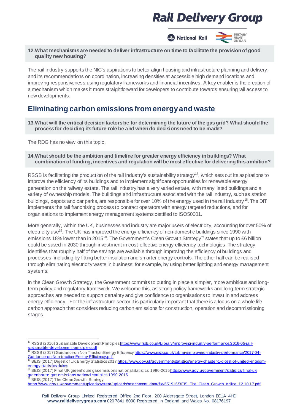**BRITAIN A** National Rail **RUNS** ON RAIL

#### **12.What mechanismsare needed to deliver infrastructure on time to facilitate the provision of good quality new housing?**

The rail industry supports the NIC's aspirations to better align housing and infrastructure planning and delivery, and its recommendations on coordination, increasing densities at accessible high demand locations and improving responsiveness using regulatory frameworks and financial incentives. A key enabler is the creation of a mechanism which makes it more straightforward for developers to contribute towards ensuringrail access to new developments.

### **Eliminating carbon emissions from energy and waste**

**13.What will the critical decision factorsbe for determining the future of the gasgrid? What should the processfor deciding itsfuture role be and when do decisionsneed to be made?**

The RDG has no view on this topic.

#### **14.What should be the ambition and timeline for greater energy efficiency in buildings? What combination of funding, incentivesand regulation will be most effective for delivering thisambition?**

RSSB is facilitating the production of the rail industry's sustainability strategy<sup>[17](#page-13-0)</sup>, which sets out its aspirations to improve the efficiency of its buildings and to implement significant opportunities for renewable energy generation on the railway estate. The rail industry has a very varied estate, with many listed buildings and a variety of ownership models. The buildings and infrastructure associated with the rail industry, suchas station buildings, depots and car parks, are responsible for over 10% of the energy used in the rail industry<sup>18</sup>. The DfT implements the rail franchising process to contract operators with energy targeted reductions, and for organisations to implement energy management systems certified to ISO50001.

More generally, within the UK, businesses and industry are major users of electricity, accounting for over 50% of electricity use<sup>19</sup>. The UK has improved the energy efficiency of non-domestic buildings since 1990 with emissions 18% lower than in 2015<sup>20</sup>. The Government's Clean Growth Strategy<sup>[21](#page-13-4)</sup> states that up to £6 billion could be saved in 2030 through investment in cost-effective energy efficiency technologies. The strategy identifies that roughly half of the savings are available through improving the efficiency of buildings and processes, including by fitting better insulation and smarter energy controls. The other half can be realised through eliminating electricity waste in business; for example, by using better lighting and energy management systems.

In the Clean Growth Strategy, the Government commits to putting in place a simpler, more ambitious and longterm policy and regulatory framework. We welcome this, as strong policy frameworks and long-term strategic approaches are needed to support certainty and give confidence to organisations to invest in and address energy efficiency. For the infrastructure sector it is particularly important that there is a focus on a whole life carbon approach that considers reducing carbon emissions for construction, operation and decommissioning stages.

 $\overline{a}$ 

<span id="page-13-0"></span><sup>&</sup>lt;sup>17</sup> RSSB (2016) Sustainable Development Principles <u>https://www.rssb.co.uk/Library/improving-industry-performance/2016-05-rail-</u> [sustainable-development-principles.pdf](https://www.rssb.co.uk/Library/improving-industry-performance/2016-05-rail-sustainable-development-principles.pdf)

<span id="page-13-1"></span>RSSB (2017) Guidance on Non Traction Energy Efficienc[y https://www.rssb.co.uk/Library/improving-industry-performance/2017-04-](https://www.rssb.co.uk/Library/improving-industry-performance/2017-04-Guidance-on-Non-traction-Energy-Efficiency.pdf) [Guidance-on-Non-traction-Energy-Efficiency.pdf](https://www.rssb.co.uk/Library/improving-industry-performance/2017-04-Guidance-on-Non-traction-Energy-Efficiency.pdf)<br><sup>19</sup> BEIS (2017) Disect of UK Energy Statistics 20

<span id="page-13-2"></span>BEIS (2017) Digest of UK Energy Statistics 201[7 https://www.gov.uk/government/statistics/energy-chapter-1-digest-of-united-kingdom](https://www.gov.uk/government/statistics/energy-chapter-1-digest-of-united-kingdom-energy-statistics-dukes)[energy-statistics-dukes](https://www.gov.uk/government/statistics/energy-chapter-1-digest-of-united-kingdom-energy-statistics-dukes)

<span id="page-13-3"></span>BEIS (2017) Final UK greenhouse gas emissions national statistics: 1990-2015 https://www.gov.uk/government/statistics/ final-ukgreenhouse-gas-emissions-national-statistics-1990-2015<br><sup>21</sup> BEIS (2017) The Clean Growth Strategy

<span id="page-13-4"></span>[https://www.gov.uk/government/uploads/system/uploads/attachment\\_data/file/651916/BEIS\\_The\\_Clean\\_Growth\\_online\\_12.10.17.pdf](https://www.gov.uk/government/uploads/system/uploads/attachment_data/file/651916/BEIS_The_Clean_Growth_online_12.10.17.pdf)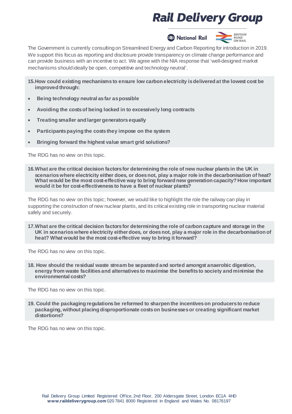



The Government is currently consultingon Streamlined Energy and Carbon Reporting for introduction in 2019. We support this focus as reporting and disclosure provide transparency on climate change performance and can provide business with an incentive to act. We agree with the NIA response that 'well-designed market mechanisms shouldideally be open, competitive and technology neutral'.

- **15.How could existing mechanismsto ensure low carbon electricity isdelivered at the lowest cost be improved through:**
- **Being technology neutral asfar aspossible**
- **Avoiding the costsof being locked in to excessively long contracts**
- **Treating smaller and largergeneratorsequally**
- **Participantspaying the coststhey impose on the system**
- **Bringing forward the highest value smart grid solutions?**

The RDG has no view on this topic.

**16.What are the critical decision factorsfor determining the role of new nuclear plantsin the UK in scenarioswhere electricity either does, or doesnot, play a major role in the decarbonisation of heat? What would be the most cost-effective way to bring forward new generation capacity? How important would it be for cost-effectivenessto have a fleet of nuclear plants?**

The RDG has no view on this topic; however, we would like to highlight the role the railway can play in supporting the construction of new nuclear plants, and its critical existing role in transporting nuclear material safely and securely.

**17.What are the critical decision factorsfor determining the role of carbon capture and storage in the UK in scenarioswhere electricity eitherdoes, or doesnot, play a major role in the decarbonisation of heat? What would be the most cost-effective way to bring it forward?**

The RDG has no view on this topic.

**18. How should the residual waste stream be separated and sorted amongst anaerobic digestion, energy from waste facilitiesand alternatives to maximise the benefitsto society and minimise the environmental costs?**

The RDG has no view on this topic.

**19. Could the packaging regulationsbe reformed to sharpen the incentiveson producersto reduce packaging, without placing disproportionate costson businessesor creating significant market distortions?**

The RDG has no view on this topic.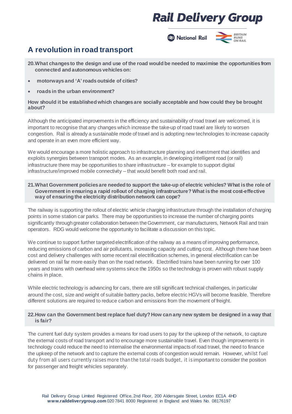

### **A revolution in road transport**

**20.What changesto the design and use of the road would be needed to maximise the opportunitiesfrom connected and autonomousvehicleson:**

- **motorwaysand 'A'roadsoutside of cities?**
- **roadsin the urban environment?**

#### **How should it be established which changesare socially acceptable and how could they be brought about?**

Although the anticipated improvements in the efficiency and sustainability of road travel are welcomed, it is important to recognise that any changes which increase the take-up of road travel are likely to worsen congestion. Rail is already a sustainable mode of travel and is adopting new technologies to increase capacity and operate in an even more efficient way.

We would encourage a more holistic approach to infrastructure planning and investment that identifies and exploits synergies between transport modes. As an example, in developing intelligent road (or rail) infrastructure there may be opportunities to share infrastructure – for example to support digital infrastructure/improved mobile connectivity – that would benefit both road and rail.

#### **21.What Government policiesare needed to support the take-up of electric vehicles? What isthe role of Government in ensuring a rapid rollout of charging infrastructure? What isthe most cost-effective way of ensuring the electricity distribution network can cope?**

The railway is supporting the rollout of electric vehicle charging infrastructure through the installation of charging points in some station car parks. There may be opportunities to increase the number of charging points significantly through greater collaboration between the Government, car manufacturers, Network Rail and train operators. RDG would welcome the opportunity to facilitate a discussion on this topic.

We continue to support further targeted electrification of the railway as a means of improving performance, reducing emissions of carbon and air pollutants, increasing capacity and cutting cost. Although there have been cost and delivery challenges with some recent rail electrification schemes, in general electrification can be delivered on rail far more easily than on the road network. Electrified trains have been running for over 100 years and trains with overhead wire systems since the 1950s so thetechnology is proven with robust supply chains in place.

While electric technology is advancing for cars, there are still significant technical challenges, in particular around the cost, size and weight of suitable battery packs, before electric HGVs will become feasible. Therefore different solutions are required to reduce carbon and emissions from the movement of freight.

#### 22. How can the Government best replace fuel duty? How can any new system be designed in a way that **is fair?**

The current fuel duty system provides a means for road users to pay for the upkeep of the network, to capture the external costs of road transport and to encourage more sustainable travel. Even though improvements in technology could reduce the need to internalise the environmental impacts of road travel, the need to finance the upkeep of the network and to capture the external costs of congestion would remain. However, whilst fuel duty from all users currently raises more than the totalroads budget, it is important to consider the position for passenger and freight vehicles separately.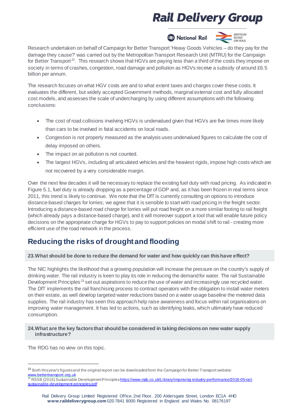

Research undertaken on behalf of Campaign for Better Transport 'Heavy Goods Vehicles – do they pay for the damage they cause?' was carried out by the Metropolitan Transport Research Unit (MTRU) for the Campaign for Better Transport<sup>[22](#page-16-0)</sup>. This research shows that HGVs are paying less than a third of the costs they impose on society in terms of crashes, congestion, road damage and pollution as HGVs receive a subsidy of around £6.5 billion per annum.

The research focuses on what HGV costs are and to what extent taxes and charges cover these costs. It evaluates the different, but widely accepted Government methods, marginal external cost and fully allocated cost models, and assesses the scale of undercharging by using different assumptions with the following conclusions:

- The cost of road collisions involving HGVs is undervalued given that HGVs are five times more likely than cars to be involved in fatal accidents on local roads.
- Congestion is not properly measured as the analysis uses undervalued figures to calculate the cost of delay imposed on others.
- The impact on air pollution is not counted.
- The largest HGVs, including all articulated vehicles and the heaviest rigids, impose high costs which are not recovered by a very considerable margin.

Over the next few decades it will be necessary to replace the existing fuel duty with road pricing. As indicated in Figure 5.1, fuel duty is already dropping as a percentage of GDP and, as it has been frozen in real terms since 2011, this trend is likely to continue. We note that the DfT is currently consulting on options to introduce distance-based charges for lorries; we agree that it is sensible to start with road pricing in the freight sector. Introducing a distance-based road charge for lorries will put road freight on a more similar footing to rail freight (which already pays a distance-based charge), and it will moreover support a tool that will enable future policy decisions on the appropriate charge for HGVs to pay to support policies on modal shift to rail - creating more efficient use of the road network in the process.

### **Reducing the risks of drought and flooding**

#### **23.What should be done to reduce the demand for water and how quickly can thishave effect?**

The NIC highlights the likelihood that a growing population will increase the pressure on the country's supply of drinking water. The rail industry is keen to play its role in reducing the demandfor water. The rail Sustainable Development Principles<sup>[23](#page-16-1)</sup> set out aspirations to reduce the use of water and increasingly use recycled water. The DfT implements the rail franchising process to contract operators with the obligation to install water meters on their estate, as well develop targeted water reductions based on a water usage baseline the metered data supplies. The rail industry has seen this approachhelp raise awareness and focus within rail organisations on improving water management. It has led to actions, such as identifying leaks, which ultimately have reduced consumption.

#### **24.What are the key factorsthat should be considered in taking decisionson new water supply infrastructure?**

The RDG has no view on this topic.

<span id="page-16-0"></span><sup>&</sup>lt;sup>22</sup> Both [thisyear's](https://protect-eu.mimecast.com/s/J3ZbCOMvBuGDg8cWJeB1?domain=bettertransport.org.uk) figuresand the [original](https://protect-eu.mimecast.com/s/xxxnCP7wDClB2wFWZiq8?domain=bettertransport.org.uk) report can be downloaded from the Campaign for Better Transport website: [www.bettertransport.org.uk](http://www.bettertransport.org.uk/)

<span id="page-16-1"></span><sup>23</sup> RSSB (2016) Sustainable Development Principle[s https://www.rssb.co.uk/Library/improving-industry-performance/2016-05-rail](https://www.rssb.co.uk/Library/improving-industry-performance/2016-05-rail-sustainable-development-principles.pdf)[sustainable-development-principles.pdf](https://www.rssb.co.uk/Library/improving-industry-performance/2016-05-rail-sustainable-development-principles.pdf)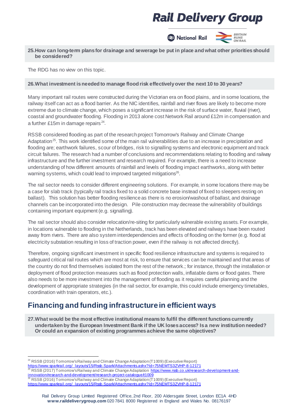

#### **25.How can long-term plansfor drainage and sewerage be put in place and what other prioritiesshould be considered?**

The RDG has no view on this topic.

#### **26.What investment isneeded to manage flood risk effectivelyover the next 10 to 30 years?**

Many important rail routes were constructed during the Victorian era on flood plains, and in some locations, the railway itself can act as a flood barrier. As the NIC identifies, rainfall and river flows are likely to become more extreme due to climate change, which poses a significant increase in the risk of surface water, fluvial (river), coastal and groundwater flooding. Flooding in 2013 alone cost Network Rail around £12m in compensation and a further £15m in damage repairs  $24$ .

RSSB considered flooding as part of the research project Tomorrow's Railway and Climate Change Adaptation<sup>25</sup>. This work identified some of the main rail vulnerabilities due to an increase in precipitation and flooding are; earthwork failures, scour of bridges, risk to signalling systems and electronic equipment and track circuit failures. The research had a number of conclusions and recommendations relating to flooding and railway infrastructure and the further investment and research required. For example, there is a need to increase understanding of how different amounts of rainfall and levels of flooding impact earthworks, along with better warning systems, which could lead to improved targeted mitigations<sup>26</sup>.

The rail sector needs to consider different engineering solutions. For example, in some locations there may be a case for slab track (typically rail tracks fixed to a solid concrete base instead of fixed to sleepers resting on ballast). This solution has better flooding resilienceas there is no erosion/washout of ballast, and drainage channels can be incorporated into thedesign. Pile construction may decrease the vulnerability of buildings containing important equipment (e.g. signalling).

The rail sector should also consider relocation/re-siting for particularly vulnerable existing assets. For example, in locations vulnerable to flooding in the Netherlands, track has been elevated and railways have been routed away from rivers. There are also system interdependencies and effects of flooding on the former (e.g. flood at electricity substation resulting in loss of traction power, even if the railway is not affected directly).

Therefore, ongoing significant investment in specific flood resilience infrastructure and systems is required to safeguard critical rail routes which are most at risk, to ensure that services can be maintained and that areas of the country do not find themselves isolated from the rest of the network.; for instance, through the installation or deployment of flood protection measures such as flood protection walls, inflatable dams or flood gates. There also needs to be more investment into the management of flooding as it requires careful planning and the development of appropriate strategies (in the rail sector, for example, this could include emergency timetables, coordination with train operators, etc.).

### **Financing and funding infrastructure in efficient ways**

**27.What would be the most effective institutional meansto fulfil the different functionscurrently undertaken by the European Investment Bank if the UK losesaccess? Isa new institution needed? Or could an expansion of existing programmesachieve the same objectives?**

<span id="page-17-0"></span> $\overline{a}$  $^{24}$  RSSB (2016) Tomorrow's Railway and Climate Change Adaptation (T1009) (Executive Report) [https://www.sparkrail.org/\\_layouts/15/Rssb.Spark/Attachments.ashx?Id=75NEMTS3ZVHP-8-12171](https://www.sparkrail.org/_layouts/15/Rssb.Spark/Attachments.ashx?Id=75NEMTS3ZVHP-8-12171)

<span id="page-17-2"></span><span id="page-17-1"></span>RSSB (2017) Tomorrow's Railway and Climate Change Adaptation [https://www.rssb.co.uk/research-development-and](https://www.rssb.co.uk/research-development-and-innovation/research-and-development/research-project-catalogue/t1009)innovation/research-and-development/research-project-catalogue/t10<br><sup>28</sup> PSSR (2016) Temerrouse Deily research-project-catalogue/t10 <sup>26</sup> RSSB (2016) Tomorrow's Railway and Climate Change Adaptation (T1009) (Executive Report) [https://www.sparkrail.org/\\_layouts/15/Rssb.Spark/Attachments.ashx?Id=75NEMTS3ZVHP-8-12171](https://www.sparkrail.org/_layouts/15/Rssb.Spark/Attachments.ashx?Id=75NEMTS3ZVHP-8-12171)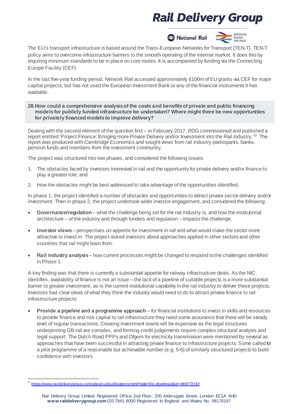A National Rail



The EU's transport infrastructure is based around the Trans-European Networks for Transport (TEN-T). TEN-T policy aims to overcome infrastructure barriers to the smooth operating of the internal market. It does this by requiring minimum standards to be in place on core routes. It is accompanied by funding via the Connecting Europe Facility (CEF).

In the last five-year funding period, Network Rail accessed approximately £100m of EU grants via CEF for major capital projects, but has not used the European Investment Bank or any of the financial instruments it has available.

**28.How could a comprehensive analysisof the costs and benefitsof private and public financing modelsfor publicly funded infrastructure be undertaken? Where might there be new opportunities for privately financed modelsto improve delivery?**

Dealing with the second element of the question first – in February 2017, RDG commissioned and published a report entitled 'Project Finance: Bringing more Private Delivery and/or Investment into the Rail Industry.<sup>[27](#page-18-0)</sup> The report was produced with Cambridge Economics and sought views from rail industry participants, banks, pension funds and members from the investment community.

The project was structured into two phases, and considered the following issues:

- 1. The obstacles faced by investors interested in rail and the opportunity for private delivery and/or finance to play a greater role; and
- 2. How the obstacles might be best addressed to takeadvantage of the opportunities identified.

In phase 1, the project identified a number of obstacles and opportunities to attract private sector delivery and/or investment. Then in phase 2, the project undertook wider investor engagement, and considered the following:

- **Governance/regulation** what the challenge being set for the rail industry is, and how the institutional architecture – of the industry and through funders and regulation – impacts the challenge.
- **Investor views** perspectives on appetite for investment in rail and what would make the sector more attractive to invest in. The project asked investors about approaches applied in other sectors and other countries that rail might learn from.
- **Rail industry analysis** how current processes might be changed to respond tothe challenges identified in Phase 1.

A key finding was that there is currently a substantial appetite for railway infrastructure deals. As the NIC identifies, availability of finance is not an issue – the lack of a pipeline of suitable projects is a more substantial barrier to greater investment, as is the current institutional capability in the rail industry to deliver these projects. Investors had clear ideas of what they think the industry would need to do to attract private finance to rail infrastructure projects:

• **Provide a pipeline and a programme approach** – for financial institutions to invest in skills and resources to provide finance and risk capital to rail infrastructure they need some assurance that there will be steady level of regular transactions. Creating investment teams will be expensive as the legal structures underpinning GB rail are complex, and forming credit judgements require complex structural analysis and legal support. The Dutch Road PPPs and Ofgem for electricity transmission were mentioned by several as approaches that have been successful in attracting private finance to infrastructure projects. Some called for a pilot programme of a reasonable but achievable number (e.g. 5-6) of similarly structured projects to build confidence with investors.

<span id="page-18-0"></span> $\overline{a}$ <sup>27</sup> <https://www.raildeliverygroup.com/about-us/publications.html?task=file.download&id=469772167>

Rail Delivery Group Limited Registered Office, 2nd Floor, 200 Aldersgate Street, London EC1A 4HD **www.raildeliverygroup.com** 020 7841 8000 Registered in England and Wales No. 08176197